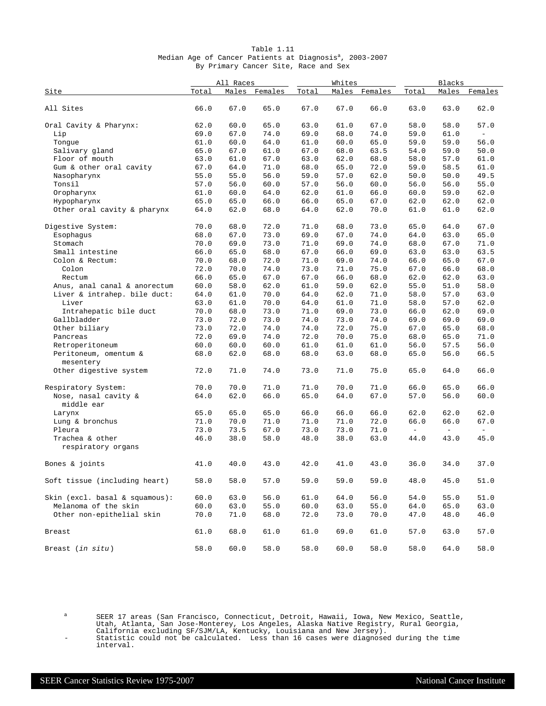| Table 1.11                                                          |  |  |                                      |  |  |  |  |  |  |  |  |
|---------------------------------------------------------------------|--|--|--------------------------------------|--|--|--|--|--|--|--|--|
| Median Age of Cancer Patients at Diagnosis <sup>a</sup> , 2003-2007 |  |  |                                      |  |  |  |  |  |  |  |  |
|                                                                     |  |  | By Primary Cancer Site, Race and Sex |  |  |  |  |  |  |  |  |

|                                    | All Races |      |               | Whites |      | Blacks        |               |      |                          |
|------------------------------------|-----------|------|---------------|--------|------|---------------|---------------|------|--------------------------|
| Site                               | Total     |      | Males Females | Total  |      | Males Females | Total         |      | Males Females            |
| All Sites                          | 66.0      | 67.0 | 65.0          | 67.0   | 67.0 | 66.0          | 63.0          | 63.0 | 62.0                     |
| Oral Cavity & Pharynx:             | 62.0      | 60.0 | 65.0          | 63.0   | 61.0 | 67.0          | 58.0          | 58.0 | 57.0                     |
| Lip                                | 69.0      | 67.0 | 74.0          | 69.0   | 68.0 | 74.0          | 59.0          | 61.0 | $\overline{\phantom{a}}$ |
| Tonque                             | 61.0      | 60.0 | 64.0          | 61.0   | 60.0 | 65.0          | 59.0          | 59.0 | 56.0                     |
| Salivary gland                     | 65.0      | 67.0 | 61.0          | 67.0   | 68.0 | 63.5          | 54.0          | 59.0 | 50.0                     |
| Floor of mouth                     | 63.0      | 61.0 | 67.0          | 63.0   | 62.0 | 68.0          | 58.0          | 57.0 | 61.0                     |
| Gum & other oral cavity            | 67.0      | 64.0 | 71.0          | 68.0   | 65.0 | 72.0          | 59.0          | 58.5 | 61.0                     |
| Nasopharynx                        | 55.0      | 55.0 | 56.0          | 59.0   | 57.0 | 62.0          | 50.0          | 50.0 | 49.5                     |
| Tonsil                             | 57.0      | 56.0 | 60.0          | 57.0   | 56.0 | 60.0          | 56.0          | 56.0 | 55.0                     |
| Oropharynx                         | 61.0      | 60.0 | 64.0          | 62.0   | 61.0 | 66.0          | 60.0          | 59.0 | 62.0                     |
| Hypopharynx                        | 65.0      | 65.0 | 66.0          | 66.0   | 65.0 | 67.0          | 62.0          | 62.0 | 62.0                     |
| Other oral cavity & pharynx        | 64.0      | 62.0 | 68.0          | 64.0   | 62.0 | 70.0          | 61.0          | 61.0 | 62.0                     |
| Digestive System:                  | 70.0      | 68.0 | 72.0          | 71.0   | 68.0 | 73.0          | 65.0          | 64.0 | 67.0                     |
| Esophagus                          | 68.0      | 67.0 | 73.0          | 69.0   | 67.0 | 74.0          | 64.0          | 63.0 | 65.0                     |
| Stomach                            | 70.0      | 69.0 | 73.0          | 71.0   | 69.0 | 74.0          | 68.0          | 67.0 | 71.0                     |
| Small intestine                    | 66.0      | 65.0 | 68.0          | 67.0   | 66.0 | 69.0          | 63.0          | 63.0 | 63.5                     |
| Colon & Rectum:                    | 70.0      | 68.0 | 72.0          | 71.0   | 69.0 | 74.0          | 66.0          | 65.0 | 67.0                     |
| Colon                              | 72.0      | 70.0 | 74.0          | 73.0   | 71.0 | 75.0          | 67.0          | 66.0 | 68.0                     |
| Rectum                             | 66.0      | 65.0 | 67.0          | 67.0   | 66.0 | 68.0          | 62.0          | 62.0 | 63.0                     |
| Anus, anal canal & anorectum       | 60.0      | 58.0 | 62.0          | 61.0   | 59.0 | 62.0          | 55.0          | 51.0 | 58.0                     |
| Liver & intrahep. bile duct:       | 64.0      | 61.0 | 70.0          | 64.0   | 62.0 | 71.0          | 58.0          | 57.0 | 63.0                     |
| Liver                              | 63.0      | 61.0 | 70.0          | 64.0   | 61.0 | 71.0          | 58.0          | 57.0 | 62.0                     |
| Intrahepatic bile duct             | 70.0      | 68.0 | 73.0          | 71.0   | 69.0 | 73.0          | 66.0          | 62.0 | 69.0                     |
| Gallbladder                        | 73.0      | 72.0 | 73.0          | 74.0   | 73.0 | 74.0          | 69.0          | 69.0 | 69.0                     |
| Other biliary                      | 73.0      | 72.0 | 74.0          | 74.0   | 72.0 | 75.0          | 67.0          | 65.0 | 68.0                     |
| Pancreas                           | 72.0      | 69.0 | 74.0          | 72.0   | 70.0 | 75.0          | 68.0          | 65.0 | 71.0                     |
| Retroperitoneum                    | 60.0      | 60.0 | 60.0          | 61.0   | 61.0 | 61.0          | 56.0          | 57.5 | 56.0                     |
| Peritoneum, omentum &<br>mesentery | 68.0      | 62.0 | 68.0          | 68.0   | 63.0 | 68.0          | 65.0          | 56.0 | 66.5                     |
| Other digestive system             | 72.0      | 71.0 | 74.0          | 73.0   | 71.0 | 75.0          | 65.0          | 64.0 | 66.0                     |
| Respiratory System:                | 70.0      | 70.0 | 71.0          | 71.0   | 70.0 | 71.0          | 66.0          | 65.0 | 66.0                     |
| Nose, nasal cavity &<br>middle ear | 64.0      | 62.0 | 66.0          | 65.0   | 64.0 | 67.0          | 57.0          | 56.0 | 60.0                     |
| Larynx                             | 65.0      | 65.0 | 65.0          | 66.0   | 66.0 | 66.0          | 62.0          | 62.0 | 62.0                     |
| Lung & bronchus                    | 71.0      | 70.0 | 71.0          | 71.0   | 71.0 | 72.0          | 66.0          | 66.0 | 67.0                     |
| Pleura                             | 73.0      | 73.5 | 67.0          | 73.0   | 73.0 | 71.0          | $\frac{1}{2}$ | $-$  | $\equiv$                 |
| Trachea & other                    | 46.0      | 38.0 | 58.0          | 48.0   | 38.0 | 63.0          | 44.0          | 43.0 | 45.0                     |
| respiratory organs                 |           |      |               |        |      |               |               |      |                          |
| Bones & joints                     | 41.0      | 40.0 | 43.0          | 42.0   | 41.0 | 43.0          | 36.0          | 34.0 | 37.0                     |
| Soft tissue (including heart)      | 58.0      | 58.0 | 57.0          | 59.0   | 59.0 | 59.0          | 48.0          | 45.0 | 51.0                     |
| Skin (excl. basal & squamous):     | 60.0      | 63.0 | 56.0          | 61.0   | 64.0 | 56.0          | 54.0          | 55.0 | 51.0                     |
| Melanoma of the skin               | 60.0      | 63.0 | 55.0          | 60.0   | 63.0 | 55.0          | 64.0          | 65.0 | 63.0                     |
| Other non-epithelial skin          | 70.0      | 71.0 | 68.0          | 72.0   | 73.0 | 70.0          | 47.0          | 48.0 | 46.0                     |
| Breast                             | 61.0      | 68.0 | 61.0          | 61.0   | 69.0 | 61.0          | 57.0          | 63.0 | 57.0                     |
| Breast (in situ)                   | 58.0      | 60.0 | 58.0          | 58.0   | 60.0 | 58.0          | 58.0          | 64.0 | 58.0                     |

<sup>a</sup> SEER 17 areas (San Francisco, Connecticut, Detroit, Hawaii, Iowa, New Mexico, Seattle, Utah, Atlanta, San Jose-Monterey, Los Angeles, Alaska Native Registry, Rural Georgia,

California excluding SF/SJM/LA, Kentucky, Louisiana and New Jersey). - Statistic could not be calculated. Less than 16 cases were diagnosed during the time

interval.